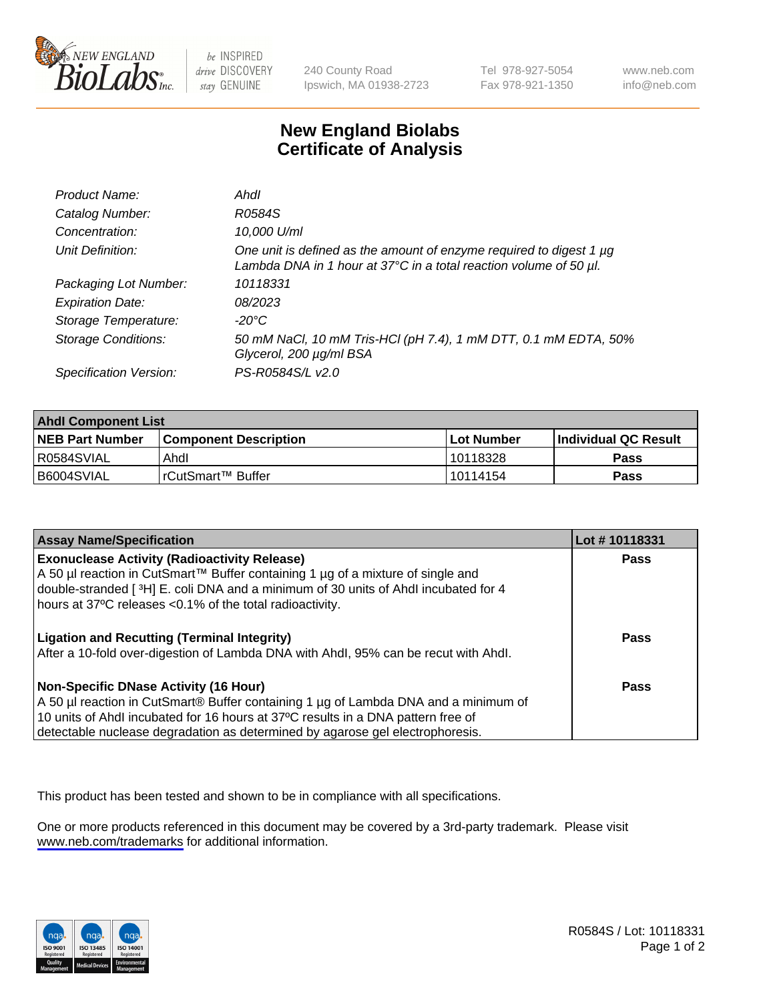

be INSPIRED drive DISCOVERY stay GENUINE

240 County Road Ipswich, MA 01938-2723 Tel 978-927-5054 Fax 978-921-1350

www.neb.com info@neb.com

## **New England Biolabs Certificate of Analysis**

| Product Name:              | Ahdl                                                                                                                                     |
|----------------------------|------------------------------------------------------------------------------------------------------------------------------------------|
| Catalog Number:            | R0584S                                                                                                                                   |
| Concentration:             | 10,000 U/ml                                                                                                                              |
| Unit Definition:           | One unit is defined as the amount of enzyme required to digest 1 µg<br>Lambda DNA in 1 hour at 37°C in a total reaction volume of 50 µl. |
| Packaging Lot Number:      | 10118331                                                                                                                                 |
| <b>Expiration Date:</b>    | 08/2023                                                                                                                                  |
| Storage Temperature:       | $-20^{\circ}$ C                                                                                                                          |
| <b>Storage Conditions:</b> | 50 mM NaCl, 10 mM Tris-HCl (pH 7.4), 1 mM DTT, 0.1 mM EDTA, 50%<br>Glycerol, 200 µg/ml BSA                                               |
| Specification Version:     | PS-R0584S/L v2.0                                                                                                                         |

| <b>Ahdl Component List</b> |                         |            |                             |  |
|----------------------------|-------------------------|------------|-----------------------------|--|
| <b>NEB Part Number</b>     | l Component Description | Lot Number | <b>Individual QC Result</b> |  |
| R0584SVIAL                 | Ahdl                    | 10118328   | Pass                        |  |
| B6004SVIAL                 | l rCutSmart™ Buffer     | 10114154   | Pass                        |  |

| <b>Assay Name/Specification</b>                                                                                                                                                                                                                                                                   | Lot #10118331 |
|---------------------------------------------------------------------------------------------------------------------------------------------------------------------------------------------------------------------------------------------------------------------------------------------------|---------------|
| <b>Exonuclease Activity (Radioactivity Release)</b><br>A 50 µl reaction in CutSmart™ Buffer containing 1 µg of a mixture of single and<br>double-stranded [3H] E. coli DNA and a minimum of 30 units of Ahdl incubated for 4<br>hours at 37°C releases <0.1% of the total radioactivity.          | <b>Pass</b>   |
| <b>Ligation and Recutting (Terminal Integrity)</b><br>After a 10-fold over-digestion of Lambda DNA with Ahdl, 95% can be recut with Ahdl.                                                                                                                                                         | Pass          |
| Non-Specific DNase Activity (16 Hour)<br>A 50 µl reaction in CutSmart® Buffer containing 1 µg of Lambda DNA and a minimum of<br>10 units of Ahdl incubated for 16 hours at 37°C results in a DNA pattern free of<br>detectable nuclease degradation as determined by agarose gel electrophoresis. | Pass          |

This product has been tested and shown to be in compliance with all specifications.

One or more products referenced in this document may be covered by a 3rd-party trademark. Please visit <www.neb.com/trademarks>for additional information.